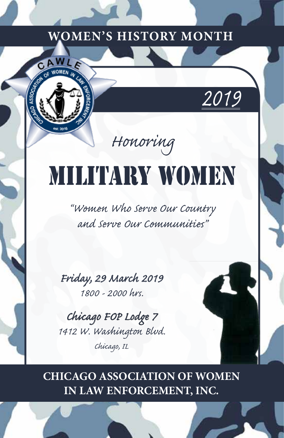

## *Honoring*

# Military Women

*"Women Who Serve Our Country and Serve Our Communities"*

*Friday, 29 March 2019 1800 - 2000 hrs.*

*Chicago FOP Lodge 7 1412 W. Washington Blvd. Chicago, IL*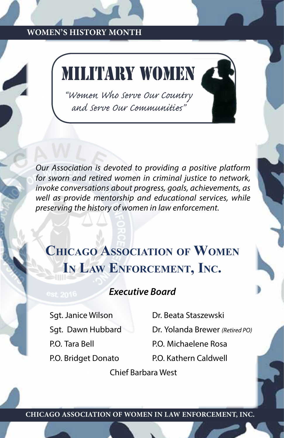## Military Women

*"Women Who Serve Our Country and Serve Our Communities"*

*Our Association is devoted to providing a positive platform for sworn and retired women in criminal justice to network, invoke conversations about progress, goals, achievements, as well as provide mentorship and educational services, while preserving the history of women in law enforcement.*

## **Chicago Association of Women In Law Enforcement, Inc.**

## *Executive Board*

P.O. Tara Bell P.O. Michaelene Rosa P.O. Bridget Donato P.O. Kathern Caldwell

Sgt. Janice Wilson Dr. Beata Staszewski

Sgt. Dawn Hubbard Dr. Yolanda Brewer *(Retired PO)*

Chief Barbara West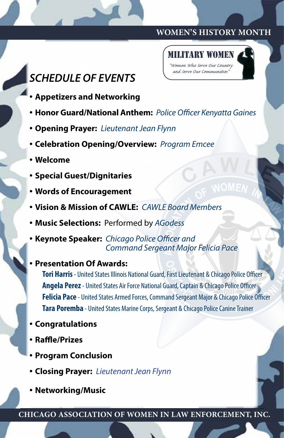



- **Appetizers and Networking**
- **Honor Guard/National Anthem:** *Police Officer Kenyatta Gaines*
- **Opening Prayer:** *Lieutenant Jean Flynn*
- **Celebration Opening/Overview:** *Program Emcee*
- **Welcome**
- **Special Guest/Dignitaries**
- **Words of Encouragement**
- **Vision & Mission of CAWLE:** *CAWLE Board Members*
- **Music Selections:** Performed by *AGodess*
- **Keynote Speaker:** *Chicago Police Officer and Command Sergeant Major Felicia Pace*
- **Presentation Of Awards:**

**Tori Harris** - United States Illinois National Guard, First Lieutenant & Chicago Police Officer **Angela Perez** - United States Air Force National Guard, Captain & Chicago Police Officer **Felicia Pace** - United States Armed Forces, Command Sergeant Major & Chicago Police Officer **Tara Poremba** - United States Marine Corps, Sergeant & Chicago Police Canine Trainer

- **Congratulations**
- **Raffle/Prizes**
- **Program Conclusion**
- **Closing Prayer:** *Lieutenant Jean Flynn*
- **Networking/Music**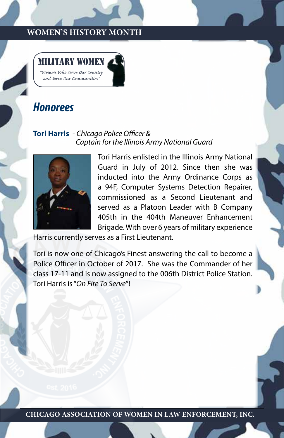

## *Honorees*

#### **Tori Harris** - *Chicago Police Officer & Captain for the Illinois Army National Guard*



Tori Harris enlisted in the Illinois Army National Guard in July of 2012. Since then she was inducted into the Army Ordinance Corps as a 94F, Computer Systems Detection Repairer, commissioned as a Second Lieutenant and served as a Platoon Leader with B Company 405th in the 404th Maneuver Enhancement Brigade. With over 6 years of military experience

Harris currently serves as a First Lieutenant.

Tori is now one of Chicago's Finest answering the call to become a Police Officer in October of 2017. She was the Commander of her class 17-11 and is now assigned to the 006th District Police Station. Tori Harris is "*On Fire To Serve*"!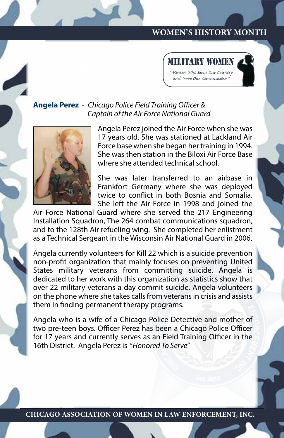

#### **Angela Perez** - *Chicago Police Field Training Officer & Captain of the Air Force National Guard*



Angela Perez joined the Air Force when she was 17 years old. She was stationed at Lackland Air Force base when she began her training in 1994. She was then station in the Biloxi Air Force Base where she attended technical school.

She was later transferred to an airbase in Frankfort Germany where she was deployed twice to conflict in both Bosnia and Somalia. She left the Air Force in 1998 and joined the

Air Force National Guard where she served the 217 Engineering Installation Squadron, The 264 combat communications squadron, and to the 128th Air refueling wing. She completed her enlistment as a Technical Sergeant in the Wisconsin Air National Guard in 2006.

Angela currently volunteers for Kill 22 which is a suicide prevention non-profit organization that mainly focuses on preventing United States military veterans from committing suicide. Angela is dedicated to her work with this organization as statistics show that over 22 military veterans a day commit suicide. Angela volunteers on the phone where she takes calls from veterans in crisis and assists them in finding permanent therapy programs.

Angela who is a wife of a Chicago Police Detective and mother of two pre-teen boys. Officer Perez has been a Chicago Police Officer for 17 years and currently serves as an Field Training Officer in the 16th District. Angela Perez is "*Honored To Serve*"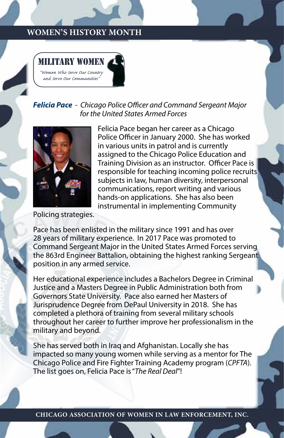

#### *Felicia Pace - Chicago Police Officer and Command Sergeant Major for the United States Armed Forces*



Felicia Pace began her career as a Chicago Police Officer in January 2000. She has worked in various units in patrol and is currently assigned to the Chicago Police Education and Training Division as an instructor. Officer Pace is responsible for teaching incoming police recruits subjects in law, human diversity, interpersonal communications, report writing and various hands-on applications. She has also been instrumental in implementing Community

Policing strategies.

Pace has been enlisted in the military since 1991 and has over 28 years of military experience. In 2017 Pace was promoted to Command Sergeant Major in the United States Armed Forces serving the 863rd Engineer Battalion, obtaining the highest ranking Sergeant position in any armed service.

Her educational experience includes a Bachelors Degree in Criminal Justice and a Masters Degree in Public Administration both from Governors State University. Pace also earned her Masters of Jurisprudence Degree from DePaul University in 2018. She has completed a plethora of training from several military schools throughout her career to further improve her professionalism in the military and beyond.

She has served both in Iraq and Afghanistan. Locally she has impacted so many young women while serving as a mentor for The Chicago Police and Fire Fighter Training Academy program (*CPFTA*). The list goes on, Felicia Pace is "*The Real Deal*"!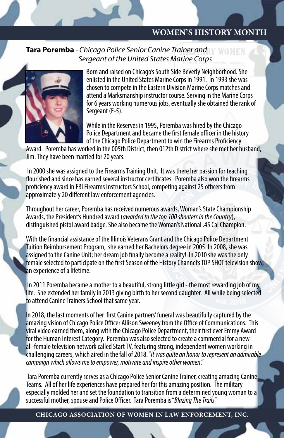## **Tara Poremba** - Chicago Police Senior Canine Trainer and **WOMEN** *Sergeant of the United States Marine Corps Country*



*and Serve Our Communities"* Born and raised on Chicago's South Side Beverly Neighborhood. She enlisted in the United States Marine Corps in 1991. In 1993 she was chosen to compete in the Eastern Division Marine Corps matches and attend a Marksmanship instructor course. Serving in the Marine Corps for 6 years working numerous jobs, eventually she obtained the rank of Sergeant (E-5).

While in the Reserves in 1995, Poremba was hired by the Chicago Police Department and became the first female officer in the history of the Chicago Police Department to win the Firearms Proficiency

Award. Poremba has worked in the 005th District, then 012th District where she met her husband, Jim. They have been married for 20 years.

 In 2000 she was assigned to the Firearms Training Unit. It was there her passion for teaching flourished and since has earned several instructor certificates. Poremba also won the firearms proficiency award in FBI Firearms Instructors School, competing against 25 officers from approximately 20 different law enforcement agencies.

Throughout her career, Poremba has received numerous awards, Woman's State Championship Awards, the President's Hundred award (*awarded to the top 100 shooters in the Country*), distinguished pistol award badge. She also became the Woman's National .45 Cal Champion.

With the financial assistance of the Illinois Veterans Grant and the Chicago Police Department Tuition Reimbursement Program, she earned her Bachelors degree in 2005. In 2008, she was assigned to the Canine Unit; her dream job finally become a reality! In 2010 she was the only female selected to participate on the first Season of the History Channel's TOP SHOT television show, an experience of a lifetime.

 In 2011 Poremba became a mother to a beautiful, strong little girl - the most rewarding job of my life. She extended her family in 2013 giving birth to her second daughter. All while being selected to attend Canine Trainers School that same year.

In 2018, the last moments of her first Canine partners' funeral was beautifully captured by the amazing vision of Chicago Police Officer Allison Sweeney from the Office of Communications. This viral video earned them, along with the Chicago Police Department, their first ever Emmy Award for the Human Interest Category. Poremba was also selected to create a commercial for a new all-female television network called Start TV, featuring strong, independent women working in challenging careers, which aired in the fall of 2018. "*It was quite an honor to represent an admirable campaign which allows me to empower, motivate and inspire other women*."

 Tara Poremba currently serves as a Chicago Police Senior Canine Trainer, creating amazing Canine Teams. All of her life experiences have prepared her for this amazing position. The military especially molded her and set the foundation to transition from a determined young woman to a successful mother, spouse and Police Officer. Tara Poremba is "*Blazing The Trails*"